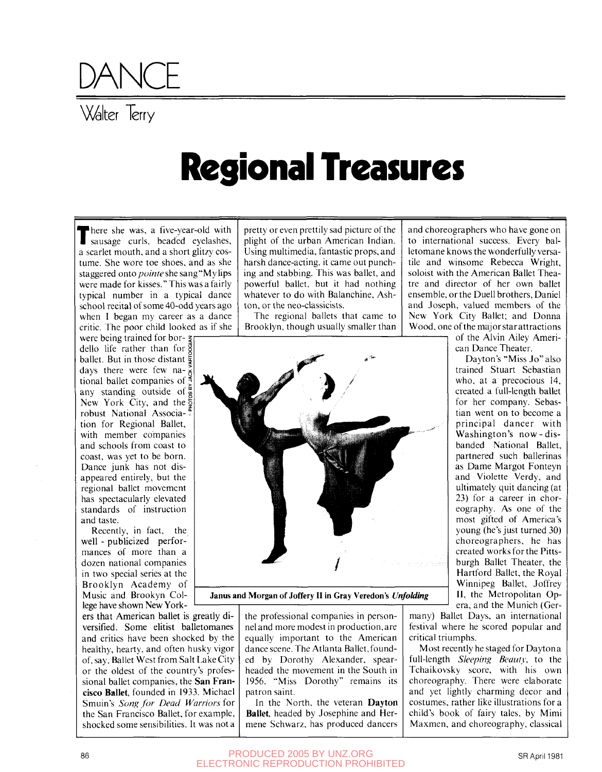

## **Resional Treasures**

There she was, a five-year-old with<br>sausage curls, beaded eyelashes, here she was, a five-year-old with a scarlet mouth, and a short glitzy costume. She wore toe shoes, and as she staggered onto *pointe* she sang "My lips were made for kisses." This was a fairly typical number in a typical dance school recital of some 40-odd years ago when I began my career as a dance critic. The poor child looked as if she

were being trained for bor- $\zeta$ dello life rather than for  $\frac{3}{9}$ ballet. But in those distant  $\frac{1}{5}$ days there were few na- $\frac{5}{5}$ tional ballet companies of  $\frac{8}{3}$ any standing outside of  $\frac{a}{b}$ New York City, and the  $\frac{5}{2}$ robust National Associa-<sup>5</sup> tion for Regional Ballet, with member companies and schools from coast to coast, was yet to be born. Dance junk has not disappeared entirely, but the regional ballet movement has spectacularly elevated standards of instruction and taste.

Recently, in fact, the well - publicized performances of more than a dozen national companies in two special series at the Brooklyn Academy of Music and Brookyn College have shown New York-

ers that American ballet is greatly diversified. Some elitist balletomanes and critics have been shocked by the healthy, hearty, and often husky vigor of, say. Ballet West from Salt Lake City or the oldest of the country's professional ballet companies, the **San Francisco Ballet,** founded in 1933. Michael Smuin's *Song for Dead Warriors for*  the San Francisco Ballet, for example, shocked some sensibilities. It was not a

pretty or even prettily sad picture of the plight of the urban American Indian. Using multimedia, fantastic props, and harsh dance-acting, it came out punching and stabbing. This was ballet, and powerful ballet, but it had nothing whatever to do with Balanchine, Ashton, or the neo-classicists.

The regional ballets that came to Brooklyn, though usually smaller than



**Janus and Morgan of Joffery II in Gray Veredon's** *Unfolding* 

the professional companies in personnel and more modest in production,are equally important to the American dance scene. The Atlanta Ballet,founded by Dorothy Alexander, spearheaded the movement in the South in 1956. "Miss Dorothy" remains its patron saint.

In the North, the veteran **Dayton Ballet,** headed by Josephine and Hermene Schwarz, has produced dancers

and choreographers who have gone on to international success. Every balletomane knows the wonderfully versatile and winsome Rebecca Wright, soloist with the American Ballet Theatre and director of her own ballet ensemble, or the Duell brothers, Daniel and Joseph, valued members of the New York City Ballet; and Donna Wood, one of the major starattractions

of the Alvin Alley American Dance Theater.

Dayton's "Miss Jo" also trained Stuart Sebastian who, at a precocious 14, created a full-length ballet for her company. Sebastian went on to become a principal dancer with Washington's now-disbanded National Ballet, partnered such ballerinas as Dame Margot Fonteyn and Violette Verdy, and ultimately quit dancing (at 23) for a career in choreography. As one of the most gifted of America's young (he's just turned 30) choreographers, he has created works for the Pittsburgh Ballet Theater, the Hartford Ballet, the Royal Winnipeg Ballet, Joffrey II, the Metropolitan Opera, and the Munich (Ger-

many) Ballet Days, an international festival where he scored popular and critical triumphs.

Most recently he staged for Dayton a full-length *Sleeping Beauty,* to the Tchaikovsky score, with his own choreography. There were elaborate and yet lightly charming decor and costumes, rather like illustrations for a child's book of fairy tales, by Mimi Maxmen, and choreography, classical

86 BY UNZ.ORG SR April 1981 ELECTRONIC REPRODUCTION PROHIBITED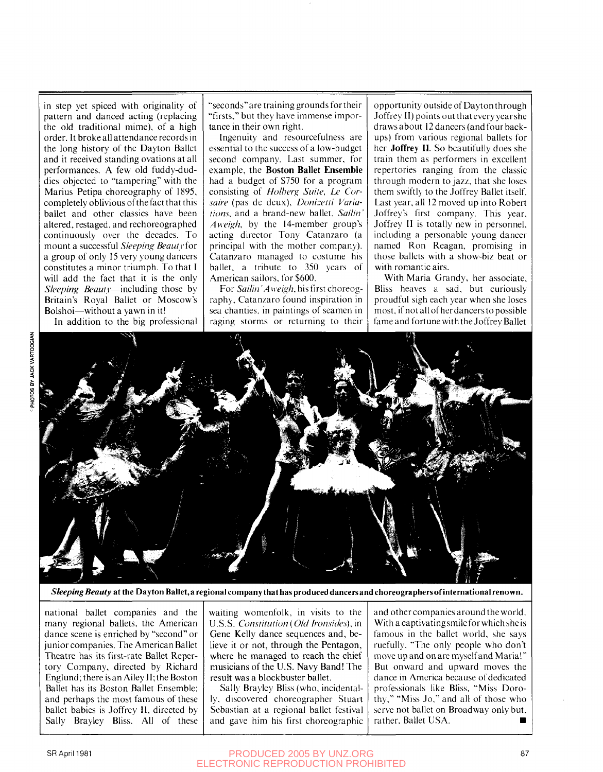in step yet spiced with originality of pattern and danced acting (replacing the old traditional mime), of a high order. It broke all attendance records in the long history of the Dayton Ballet and it received standing ovations at all performances. A few old fuddy-duddies objected to "tampering" with the Marius Petipa choreography of 1895, completely oblivious of the fact that this ballet and other classics have been altered, restaged, and rechoreographed continuously over the decades. To mount a successful *Sleeping Beauty ior*  a group of only 15 very young dancers constitutes a minor triumph. To that I will add the fact that it is the only *Sleeping Beauty*—including those by Britain's Royal Ballet or Moscow's Bolshoi—without a yawn in it!

In addition to the big professional

"seconds"are training grounds fortheir "firsts," but they have immense importance in their own right.

Ingenuity and resourcefulness are essential to the success of a low-budget second company. Last summer, for example, the **Boston Ballet Ensemble**  had a budget of \$750 for a program consisting of *Holherg Suite, Le Cursaire* (pas de deux). *Donizetti Variations,* and a brand-new ballet, *Sailin' Aweigh,* by the 14-member group's acting director Tony Catanzaro (a principal with the mother company). Catanzaro managed to costume his ballet, a tribute to 350 years of American sailors, for \$600.

For *Sailin Ά weigh,* his first choreography, Catanzaro found inspiration in sea chanties, in paintings of seamen in raging storms or returning to their opportunity outside of Dayton through Joffrey II) points out that every year she draws about 12 dancers (and four backups) from various regional ballets for her **Joffrey II**. So beautifully does she train them as performers in excellent repertories ranging from the classic through modern to jazz, that she loses them swiftly to the Joffrey Ballet itself. Last year, all 12 moved up into Robert Joffrey's first company. This year, Joffrey II is totally new in personnel, including a personable young dancer named Ron Reagan, promising in those ballets with a show-biz beat or with romantic airs.

With Maria Grandy, her associate. Bliss heaves a sad, but curiously proudful sigh each year when she loses most, if not all of her dancers to possible fame and fortune with the Joffrey Ballet



*Sleeping Beauty* **at the** Dayton **Ballet,** a regional company **that** has produced dancers and choreographers of **international renown.** 

national ballet companies and the many regional ballets, the American dance scene is enriched by "second" or junior companies. The American Ballet Theatre has its first-rate Ballet Repertory Company, directed by Richard Englund; there is an Alley 11; the Boston Ballet has its Boston Ballet Ensemble; and perhaps the most famous of these ballet babies is Joffrey II, directed by Sally Brayley Bliss. All of these

waiting womenfolk, in visits to the U.S.S. *Constitution* (*Old Ironsiiles),* in Gene Kelly dance sequences and, believe it or not, through the Pentagon, where he managed to reach the chief musicians of the U.S. Navy Band! The result was a blockbuster ballet.

Sally Brayley Bliss (who, incidentally, discovered choreographer Stuart Sebastian at a regional ballet festival and gave him his first choreographic and other companies around the world. With a captivating smile for which she is famous in the ballet world, she says ruefully, "The only people who don't move up and on are myself and Maria!" But onward and upward moves the dance in America because of dedicated professionals like Bliss, "Miss Dorothy," "Miss Jo," and all of those who serve not ballet on Broadway only but, rather, Ballet USA.